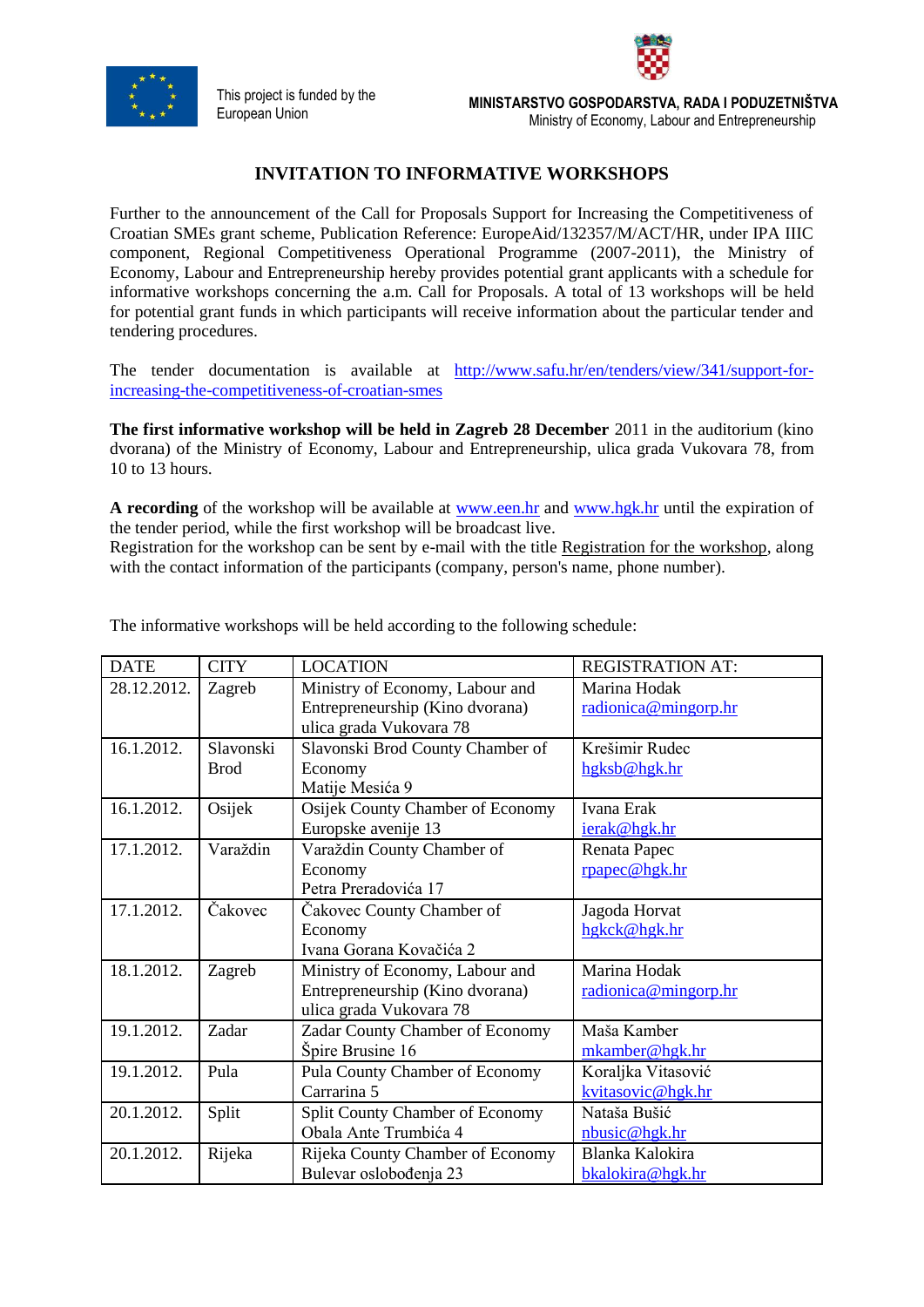

This project is funded by the



European Union **MINISTARSTVO GOSPODARSTVA, RADA I PODUZETNIŠTVA** Ministry of Economy, Labour and Entrepreneurship

## **INVITATION TO INFORMATIVE WORKSHOPS**

Further to the announcement of the Call for Proposals Support for Increasing the Competitiveness of Croatian SMEs grant scheme, Publication Reference: EuropeAid/132357/M/ACT/HR, under IPA IIIC component, Regional Competitiveness Operational Programme (2007-2011), the Ministry of Economy, Labour and Entrepreneurship hereby provides potential grant applicants with a schedule for informative workshops concerning the a.m. Call for Proposals. A total of 13 workshops will be held for potential grant funds in which participants will receive information about the particular tender and tendering procedures.

The tender documentation is available at [http://www.safu.hr/en/tenders/view/341/support-for](http://www.safu.hr/en/tenders/view/341/support-for-increasing-the-competitiveness-of-croatian-smes)[increasing-the-competitiveness-of-croatian-smes](http://www.safu.hr/en/tenders/view/341/support-for-increasing-the-competitiveness-of-croatian-smes)

**The first informative workshop will be held in Zagreb 28 December** 2011 in the auditorium (kino dvorana) of the Ministry of Economy, Labour and Entrepreneurship, ulica grada Vukovara 78, from 10 to 13 hours.

**A recording** of the workshop will be available at [www.een.hr](http://www.een.hr/) and [www.hgk.hr](http://www.hgk.hr/) until the expiration of the tender period, while the first workshop will be broadcast live.

Registration for the workshop can be sent by e-mail with the title Registration for the workshop, along with the contact information of the participants (company, person's name, phone number).

| <b>DATE</b> | <b>CITY</b>              | <b>LOCATION</b>                                                                               | <b>REGISTRATION AT:</b>                 |
|-------------|--------------------------|-----------------------------------------------------------------------------------------------|-----------------------------------------|
| 28.12.2012. | Zagreb                   | Ministry of Economy, Labour and<br>Entrepreneurship (Kino dvorana)<br>ulica grada Vukovara 78 | Marina Hodak<br>radionica@mingorp.hr    |
| 16.1.2012.  | Slavonski<br><b>Brod</b> | Slavonski Brod County Chamber of<br>Economy<br>Matije Mesića 9                                | Krešimir Rudec<br>hgksb@hgk.hr          |
| 16.1.2012.  | Osijek                   | Osijek County Chamber of Economy<br>Europske avenije 13                                       | Ivana Erak<br>ierak@hgk.hr              |
| 17.1.2012.  | Varaždin                 | Varaždin County Chamber of<br>Economy<br>Petra Preradovića 17                                 | Renata Papec<br>rpapec@hgk.hr           |
| 17.1.2012.  | Čakovec                  | Cakovec County Chamber of<br>Economy<br>Ivana Gorana Kovačića 2                               | Jagoda Horvat<br>hgkck@hgk.hr           |
| 18.1.2012.  | Zagreb                   | Ministry of Economy, Labour and<br>Entrepreneurship (Kino dvorana)<br>ulica grada Vukovara 78 | Marina Hodak<br>radionica@mingorp.hr    |
| 19.1.2012.  | Zadar                    | Zadar County Chamber of Economy<br>Špire Brusine 16                                           | Maša Kamber<br>mkamber@hgk.hr           |
| 19.1.2012.  | Pula                     | Pula County Chamber of Economy<br>Carrarina 5                                                 | Koraljka Vitasović<br>kvitasovic@hgk.hr |
| 20.1.2012.  | Split                    | Split County Chamber of Economy<br>Obala Ante Trumbića 4                                      | Nataša Bušić<br>nbusic@hgk.hr           |
| 20.1.2012.  | Rijeka                   | Rijeka County Chamber of Economy<br>Bulevar oslobođenja 23                                    | Blanka Kalokira<br>bkalokira@hgk.hr     |

The informative workshops will be held according to the following schedule: